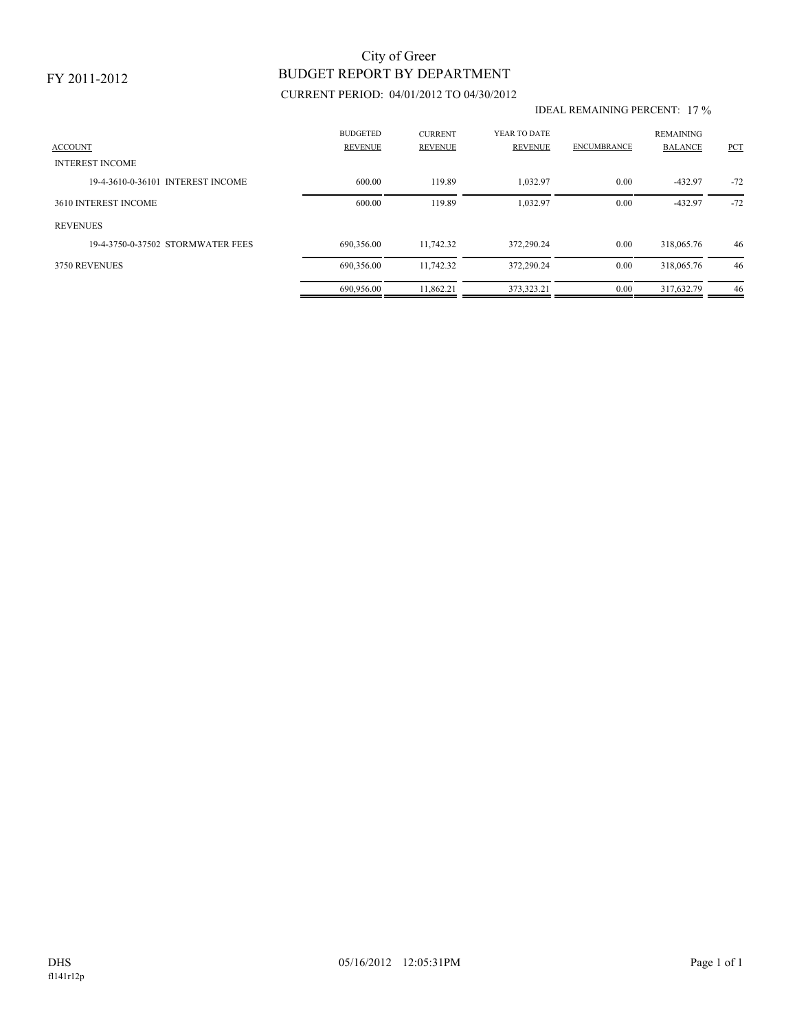# BUDGET REPORT BY DEPARTMENT City of Greer

## CURRENT PERIOD: 04/01/2012 TO 04/30/2012

#### IDEAL REMAINING PERCENT: 17 %

| <b>ACCOUNT</b>                    | <b>BUDGETED</b><br><b>REVENUE</b> | <b>CURRENT</b><br><b>REVENUE</b> | YEAR TO DATE<br><b>REVENUE</b> | <b>ENCUMBRANCE</b> | <b>REMAINING</b><br><b>BALANCE</b> | PCT   |
|-----------------------------------|-----------------------------------|----------------------------------|--------------------------------|--------------------|------------------------------------|-------|
| <b>INTEREST INCOME</b>            |                                   |                                  |                                |                    |                                    |       |
| 19-4-3610-0-36101 INTEREST INCOME | 600.00                            | 119.89                           | 1,032.97                       | 0.00               | $-432.97$                          | $-72$ |
| 3610 INTEREST INCOME              | 600.00                            | 119.89                           | 1,032.97                       | 0.00               | $-432.97$                          | $-72$ |
| <b>REVENUES</b>                   |                                   |                                  |                                |                    |                                    |       |
| 19-4-3750-0-37502 STORMWATER FEES | 690,356.00                        | 11,742.32                        | 372,290.24                     | 0.00               | 318,065.76                         | 46    |
| 3750 REVENUES                     | 690,356.00                        | 11,742.32                        | 372,290.24                     | 0.00               | 318,065.76                         | 46    |
|                                   | 690.956.00                        | 11.862.21                        | 373.323.21                     | 0.00               | 317.632.79                         | 46    |